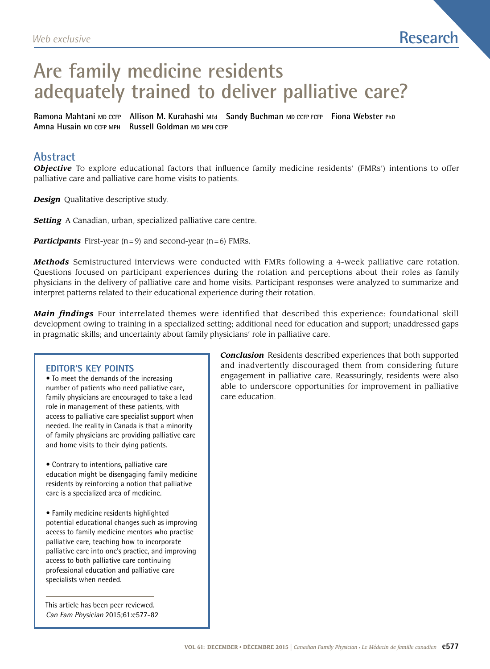# **Are family medicine residents adequately trained to deliver palliative care?**

**Ramona Mahtani MD CCFP Allison M. Kurahashi MEd Sandy Buchman MD CCFP FCFP Fiona Webster PhD Amna Husain MD CCFP MPH Russell Goldman MD MPH CCFP**

## **Abstract**

*Objective* To explore educational factors that influence family medicine residents' (FMRs') intentions to offer palliative care and palliative care home visits to patients.

*Design* Qualitative descriptive study.

**Setting** A Canadian, urban, specialized palliative care centre.

*Participants* First-year (n=9) and second-year (n=6) FMRs.

*Methods* Semistructured interviews were conducted with FMRs following a 4-week palliative care rotation. Questions focused on participant experiences during the rotation and perceptions about their roles as family physicians in the delivery of palliative care and home visits. Participant responses were analyzed to summarize and interpret patterns related to their educational experience during their rotation.

*Main findings* Four interrelated themes were identified that described this experience: foundational skill development owing to training in a specialized setting; additional need for education and support; unaddressed gaps in pragmatic skills; and uncertainty about family physicians' role in palliative care.

#### **Editor's key points**

• To meet the demands of the increasing number of patients who need palliative care, family physicians are encouraged to take a lead role in management of these patients, with access to palliative care specialist support when needed. The reality in Canada is that a minority of family physicians are providing palliative care and home visits to their dying patients.

• Contrary to intentions, palliative care education might be disengaging family medicine residents by reinforcing a notion that palliative care is a specialized area of medicine.

• Family medicine residents highlighted potential educational changes such as improving access to family medicine mentors who practise palliative care, teaching how to incorporate palliative care into one's practice, and improving access to both palliative care continuing professional education and palliative care specialists when needed.

This article has been peer reviewed. Can Fam Physician 2015;61:e577-82 *Conclusion* Residents described experiences that both supported and inadvertently discouraged them from considering future engagement in palliative care. Reassuringly, residents were also able to underscore opportunities for improvement in palliative care education.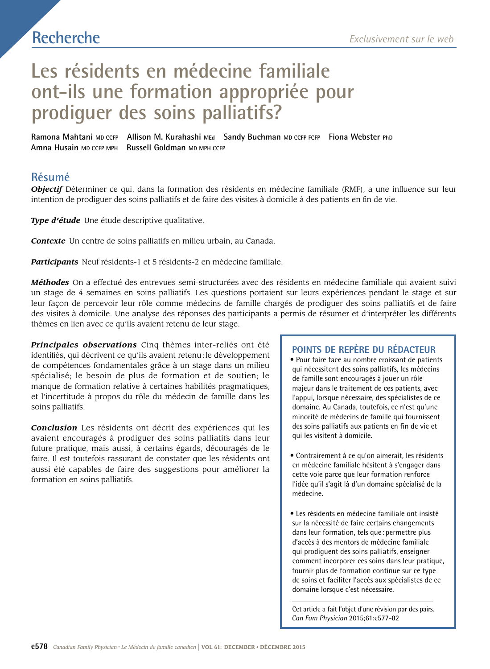## **Recherche**

# **Les résidents en médecine familiale ont-ils une formation appropriée pour prodiguer des soins palliatifs?**

**Ramona Mahtani MD CCFP Allison M. Kurahashi MEd Sandy Buchman MD CCFP FCFP Fiona Webster PhD Amna Husain MD CCFP MPH Russell Goldman MD MPH CCFP**

## **Résumé**

*Objectif* Déterminer ce qui, dans la formation des résidents en médecine familiale (RMF), a une influence sur leur intention de prodiguer des soins palliatifs et de faire des visites à domicile à des patients en fin de vie.

*Type d'étude* Une étude descriptive qualitative.

*Contexte* Un centre de soins palliatifs en milieu urbain, au Canada.

*Participants* Neuf résidents-1 et 5 résidents-2 en médecine familiale.

*Méthodes* On a effectué des entrevues semi-structurées avec des résidents en médecine familiale qui avaient suivi un stage de 4 semaines en soins palliatifs. Les questions portaient sur leurs expériences pendant le stage et sur leur façon de percevoir leur rôle comme médecins de famille chargés de prodiguer des soins palliatifs et de faire des visites à domicile. Une analyse des réponses des participants a permis de résumer et d'interpréter les différents thèmes en lien avec ce qu'ils avaient retenu de leur stage.

*Principales observations* Cinq thèmes inter-reliés ont été identifiés, qui décrivent ce qu'ils avaient retenu:le développement de compétences fondamentales grâce à un stage dans un milieu spécialisé; le besoin de plus de formation et de soutien; le manque de formation relative à certaines habilités pragmatiques; et l'incertitude à propos du rôle du médecin de famille dans les soins palliatifs.

*Conclusion* Les résidents ont décrit des expériences qui les avaient encouragés à prodiguer des soins palliatifs dans leur future pratique, mais aussi, à certains égards, découragés de le faire. Il est toutefois rassurant de constater que les résidents ont aussi été capables de faire des suggestions pour améliorer la formation en soins palliatifs.

### **Points de repère du rédacteur**

• Pour faire face au nombre croissant de patients qui nécessitent des soins palliatifs, les médecins de famille sont encouragés à jouer un rôle majeur dans le traitement de ces patients, avec l'appui, lorsque nécessaire, des spécialistes de ce domaine. Au Canada, toutefois, ce n'est qu'une minorité de médecins de famille qui fournissent des soins palliatifs aux patients en fin de vie et qui les visitent à domicile.

- Contrairement à ce qu'on aimerait, les résidents en médecine familiale hésitent à s'engager dans cette voie parce que leur formation renforce l'idée qu'il s'agit là d'un domaine spécialisé de la médecine.
- Les résidents en médecine familiale ont insisté sur la nécessité de faire certains changements dans leur formation, tels que :permettre plus d'accès à des mentors de médecine familiale qui prodiguent des soins palliatifs, enseigner comment incorporer ces soins dans leur pratique, fournir plus de formation continue sur ce type de soins et faciliter l'accès aux spécialistes de ce domaine lorsque c'est nécessaire.

Cet article a fait l'objet d'une révision par des pairs. *Can Fam Physician* 2015;61:e577-82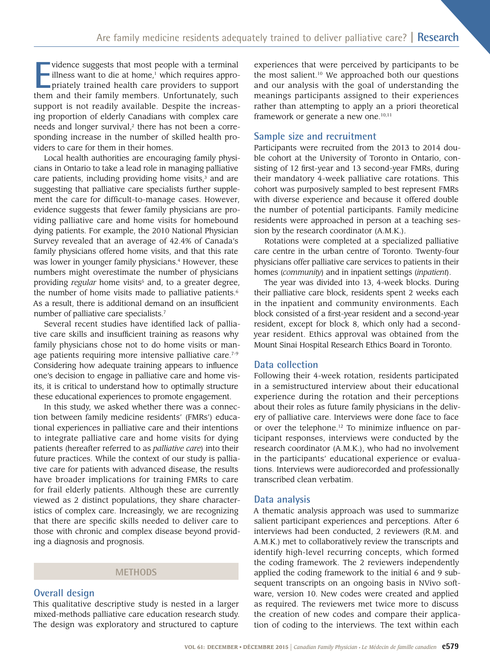vidence suggests that most people with a terminal<br>
illness want to die at home,<sup>1</sup> which requires appro-<br>
priately trained health care providers to support<br>
them and their family members. Unfortunately, such vidence suggests that most people with a terminal lilness want to die at home,<sup>1</sup> which requires appropriately trained health care providers to support support is not readily available. Despite the increasing proportion of elderly Canadians with complex care needs and longer survival,<sup>2</sup> there has not been a corresponding increase in the number of skilled health providers to care for them in their homes.

Local health authorities are encouraging family physicians in Ontario to take a lead role in managing palliative care patients, including providing home visits, $3$  and are suggesting that palliative care specialists further supplement the care for difficult-to-manage cases. However, evidence suggests that fewer family physicians are providing palliative care and home visits for homebound dying patients. For example, the 2010 National Physician Survey revealed that an average of 42.4% of Canada's family physicians offered home visits, and that this rate was lower in younger family physicians.<sup>4</sup> However, these numbers might overestimate the number of physicians providing *regular* home visits<sup>5</sup> and, to a greater degree, the number of home visits made to palliative patients.<sup>6</sup> As a result, there is additional demand on an insufficient number of palliative care specialists.7

Several recent studies have identified lack of palliative care skills and insufficient training as reasons why family physicians chose not to do home visits or manage patients requiring more intensive palliative care.<sup>7-9</sup> Considering how adequate training appears to influence one's decision to engage in palliative care and home visits, it is critical to understand how to optimally structure these educational experiences to promote engagement.

In this study, we asked whether there was a connection between family medicine residents' (FMRs') educational experiences in palliative care and their intentions to integrate palliative care and home visits for dying patients (hereafter referred to as *palliative care*) into their future practices. While the context of our study is palliative care for patients with advanced disease, the results have broader implications for training FMRs to care for frail elderly patients. Although these are currently viewed as 2 distinct populations, they share characteristics of complex care. Increasingly, we are recognizing that there are specific skills needed to deliver care to those with chronic and complex disease beyond providing a diagnosis and prognosis.

#### **Methods**

#### **Overall design**

This qualitative descriptive study is nested in a larger mixed-methods palliative care education research study. The design was exploratory and structured to capture

experiences that were perceived by participants to be the most salient.10 We approached both our questions and our analysis with the goal of understanding the meanings participants assigned to their experiences rather than attempting to apply an a priori theoretical framework or generate a new one. $10,11$ 

#### **Sample size and recruitment**

Participants were recruited from the 2013 to 2014 double cohort at the University of Toronto in Ontario, consisting of 12 first-year and 13 second-year FMRs, during their mandatory 4-week palliative care rotations. This cohort was purposively sampled to best represent FMRs with diverse experience and because it offered double the number of potential participants. Family medicine residents were approached in person at a teaching session by the research coordinator (A.M.K.).

Rotations were completed at a specialized palliative care centre in the urban centre of Toronto. Twenty-four physicians offer palliative care services to patients in their homes (*community*) and in inpatient settings (*inpatient*).

The year was divided into 13, 4-week blocks. During their palliative care block, residents spent 2 weeks each in the inpatient and community environments. Each block consisted of a first-year resident and a second-year resident, except for block 8, which only had a secondyear resident. Ethics approval was obtained from the Mount Sinai Hospital Research Ethics Board in Toronto.

#### **Data collection**

Following their 4-week rotation, residents participated in a semistructured interview about their educational experience during the rotation and their perceptions about their roles as future family physicians in the delivery of palliative care. Interviews were done face to face or over the telephone.12 To minimize influence on participant responses, interviews were conducted by the research coordinator (A.M.K.), who had no involvement in the participants' educational experience or evaluations. Interviews were audiorecorded and professionally transcribed clean verbatim.

#### **Data analysis**

A thematic analysis approach was used to summarize salient participant experiences and perceptions. After 6 interviews had been conducted, 2 reviewers (R.M. and A.M.K.) met to collaboratively review the transcripts and identify high-level recurring concepts, which formed the coding framework. The 2 reviewers independently applied the coding framework to the initial 6 and 9 subsequent transcripts on an ongoing basis in NVivo software, version 10. New codes were created and applied as required. The reviewers met twice more to discuss the creation of new codes and compare their application of coding to the interviews. The text within each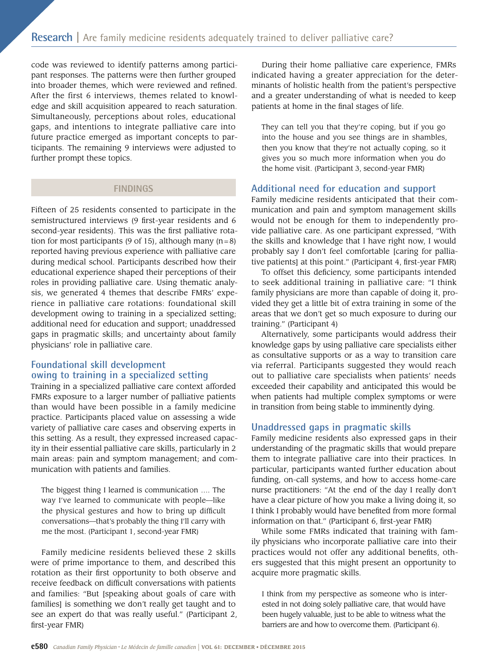code was reviewed to identify patterns among participant responses. The patterns were then further grouped into broader themes, which were reviewed and refined. After the first 6 interviews, themes related to knowledge and skill acquisition appeared to reach saturation. Simultaneously, perceptions about roles, educational gaps, and intentions to integrate palliative care into future practice emerged as important concepts to participants. The remaining 9 interviews were adjusted to further prompt these topics.

#### **Findings**

Fifteen of 25 residents consented to participate in the semistructured interviews (9 first-year residents and 6 second-year residents). This was the first palliative rotation for most participants (9 of 15), although many  $(n=8)$ reported having previous experience with palliative care during medical school. Participants described how their educational experience shaped their perceptions of their roles in providing palliative care. Using thematic analysis, we generated 4 themes that describe FMRs' experience in palliative care rotations: foundational skill development owing to training in a specialized setting; additional need for education and support; unaddressed gaps in pragmatic skills; and uncertainty about family physicians' role in palliative care.

### **Foundational skill development owing to training in a specialized setting**

Training in a specialized palliative care context afforded FMRs exposure to a larger number of palliative patients than would have been possible in a family medicine practice. Participants placed value on assessing a wide variety of palliative care cases and observing experts in this setting. As a result, they expressed increased capacity in their essential palliative care skills, particularly in 2 main areas: pain and symptom management; and communication with patients and families.

The biggest thing I learned is communication …. The way I've learned to communicate with people—like the physical gestures and how to bring up difficult conversations—that's probably the thing I'll carry with me the most. (Participant 1, second-year FMR)

Family medicine residents believed these 2 skills were of prime importance to them, and described this rotation as their first opportunity to both observe and receive feedback on difficult conversations with patients and families: "But [speaking about goals of care with families] is something we don't really get taught and to see an expert do that was really useful." (Participant 2, first-year FMR)

During their home palliative care experience, FMRs indicated having a greater appreciation for the determinants of holistic health from the patient's perspective and a greater understanding of what is needed to keep patients at home in the final stages of life.

They can tell you that they're coping, but if you go into the house and you see things are in shambles, then you know that they're not actually coping, so it gives you so much more information when you do the home visit. (Participant 3, second-year FMR)

#### **Additional need for education and support**

Family medicine residents anticipated that their communication and pain and symptom management skills would not be enough for them to independently provide palliative care. As one participant expressed, "With the skills and knowledge that I have right now, I would probably say I don't feel comfortable [caring for palliative patients] at this point." (Participant 4, first-year FMR)

To offset this deficiency, some participants intended to seek additional training in palliative care: "I think family physicians are more than capable of doing it, provided they get a little bit of extra training in some of the areas that we don't get so much exposure to during our training." (Participant 4)

Alternatively, some participants would address their knowledge gaps by using palliative care specialists either as consultative supports or as a way to transition care via referral. Participants suggested they would reach out to palliative care specialists when patients' needs exceeded their capability and anticipated this would be when patients had multiple complex symptoms or were in transition from being stable to imminently dying.

#### **Unaddressed gaps in pragmatic skills**

Family medicine residents also expressed gaps in their understanding of the pragmatic skills that would prepare them to integrate palliative care into their practices. In particular, participants wanted further education about funding, on-call systems, and how to access home-care nurse practitioners: "At the end of the day I really don't have a clear picture of how you make a living doing it, so I think I probably would have benefited from more formal information on that." (Participant 6, first-year FMR)

While some FMRs indicated that training with family physicians who incorporate palliative care into their practices would not offer any additional benefits, others suggested that this might present an opportunity to acquire more pragmatic skills.

I think from my perspective as someone who is interested in not doing solely palliative care, that would have been hugely valuable, just to be able to witness what the barriers are and how to overcome them. (Participant 6).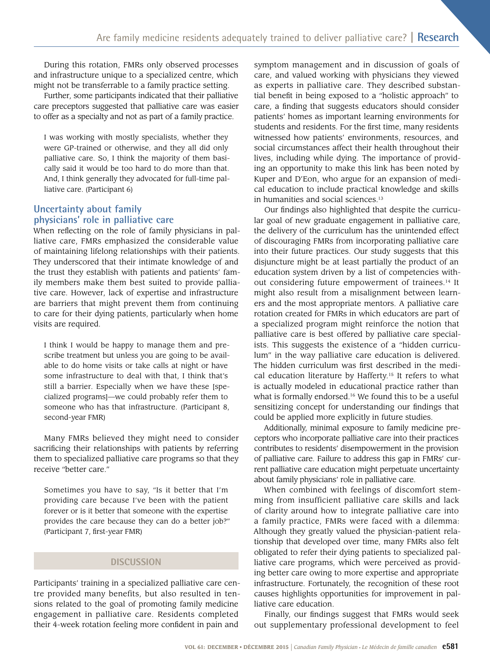During this rotation, FMRs only observed processes and infrastructure unique to a specialized centre, which might not be transferrable to a family practice setting.

Further, some participants indicated that their palliative care preceptors suggested that palliative care was easier to offer as a specialty and not as part of a family practice.

I was working with mostly specialists, whether they were GP-trained or otherwise, and they all did only palliative care. So, I think the majority of them basically said it would be too hard to do more than that. And, I think generally they advocated for full-time palliative care. (Participant 6)

#### **Uncertainty about family physicians' role in palliative care**

When reflecting on the role of family physicians in palliative care, FMRs emphasized the considerable value of maintaining lifelong relationships with their patients. They underscored that their intimate knowledge of and the trust they establish with patients and patients' family members make them best suited to provide palliative care. However, lack of expertise and infrastructure are barriers that might prevent them from continuing to care for their dying patients, particularly when home visits are required.

I think I would be happy to manage them and prescribe treatment but unless you are going to be available to do home visits or take calls at night or have some infrastructure to deal with that, I think that's still a barrier. Especially when we have these [specialized programs]—we could probably refer them to someone who has that infrastructure. (Participant 8, second-year FMR)

Many FMRs believed they might need to consider sacrificing their relationships with patients by referring them to specialized palliative care programs so that they receive "better care."

Sometimes you have to say, "Is it better that I'm providing care because I've been with the patient forever or is it better that someone with the expertise provides the care because they can do a better job?" (Participant 7, first-year FMR)

### **DISCUSSION**

Participants' training in a specialized palliative care centre provided many benefits, but also resulted in tensions related to the goal of promoting family medicine engagement in palliative care. Residents completed their 4-week rotation feeling more confident in pain and

symptom management and in discussion of goals of care, and valued working with physicians they viewed as experts in palliative care. They described substantial benefit in being exposed to a "holistic approach" to care, a finding that suggests educators should consider patients' homes as important learning environments for students and residents. For the first time, many residents witnessed how patients' environments, resources, and social circumstances affect their health throughout their lives, including while dying. The importance of providing an opportunity to make this link has been noted by Kuper and D'Eon, who argue for an expansion of medical education to include practical knowledge and skills in humanities and social sciences.13

Our findings also highlighted that despite the curricular goal of new graduate engagement in palliative care, the delivery of the curriculum has the unintended effect of discouraging FMRs from incorporating palliative care into their future practices. Our study suggests that this disjuncture might be at least partially the product of an education system driven by a list of competencies without considering future empowerment of trainees.<sup>14</sup> It might also result from a misalignment between learners and the most appropriate mentors. A palliative care rotation created for FMRs in which educators are part of a specialized program might reinforce the notion that palliative care is best offered by palliative care specialists. This suggests the existence of a "hidden curriculum" in the way palliative care education is delivered. The hidden curriculum was first described in the medical education literature by Hafferty.15 It refers to what is actually modeled in educational practice rather than what is formally endorsed.<sup>16</sup> We found this to be a useful sensitizing concept for understanding our findings that could be applied more explicitly in future studies.

Additionally, minimal exposure to family medicine preceptors who incorporate palliative care into their practices contributes to residents' disempowerment in the provision of palliative care. Failure to address this gap in FMRs' current palliative care education might perpetuate uncertainty about family physicians' role in palliative care.

When combined with feelings of discomfort stemming from insufficient palliative care skills and lack of clarity around how to integrate palliative care into a family practice, FMRs were faced with a dilemma: Although they greatly valued the physician-patient relationship that developed over time, many FMRs also felt obligated to refer their dying patients to specialized palliative care programs, which were perceived as providing better care owing to more expertise and appropriate infrastructure. Fortunately, the recognition of these root causes highlights opportunities for improvement in palliative care education.

Finally, our findings suggest that FMRs would seek out supplementary professional development to feel